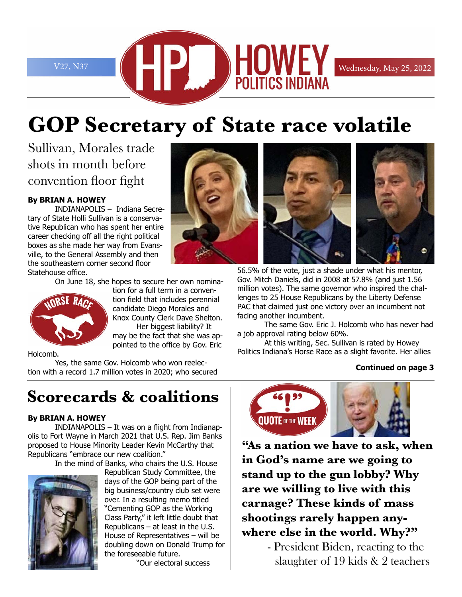

# **GOP Secretary of State race volatile**

Sullivan, Morales trade shots in month before convention floor fight

#### **By BRIAN A. HOWEY**

INDIANAPOLIS – Indiana Secretary of State Holli Sullivan is a conservative Republican who has spent her entire career checking off all the right political boxes as she made her way from Evansville, to the General Assembly and then the southeastern corner second floor Statehouse office.

On June 18, she hopes to secure her own nomina-



tion for a full term in a convention field that includes perennial candidate Diego Morales and Knox County Clerk Dave Shelton. Her biggest liability? It may be the fact that she was appointed to the office by Gov. Eric

Holcomb.

Yes, the same Gov. Holcomb who won reelection with a record 1.7 million votes in 2020; who secured

# **Scorecards & coalitions**

#### **By BRIAN A. HOWEY**

INDIANAPOLIS – It was on a flight from Indianapolis to Fort Wayne in March 2021 that U.S. Rep. Jim Banks proposed to House Minority Leader Kevin McCarthy that Republicans "embrace our new coalition."

In the mind of Banks, who chairs the U.S. House



Republican Study Committee, the days of the GOP being part of the big business/country club set were over. In a resulting memo titled "Cementing GOP as the Working Class Party," it left little doubt that Republicans – at least in the U.S. House of Representatives – will be doubling down on Donald Trump for the foreseeable future.

"Our electoral success



56.5% of the vote, just a shade under what his mentor, Gov. Mitch Daniels, did in 2008 at 57.8% (and just 1.56 million votes). The same governor who inspired the challenges to 25 House Republicans by the Liberty Defense PAC that claimed just one victory over an incumbent not facing another incumbent.

The same Gov. Eric J. Holcomb who has never had a job approval rating below 60%.

At this writing, Sec. Sullivan is rated by Howey Politics Indiana's Horse Race as a slight favorite. Her allies

#### **Continued on page 3**



**"As a nation we have to ask, when in God's name are we going to stand up to the gun lobby? Why are we willing to live with this carnage? These kinds of mass shootings rarely happen anywhere else in the world. Why?"**

> - President Biden, reacting to the slaughter of 19 kids & 2 teachers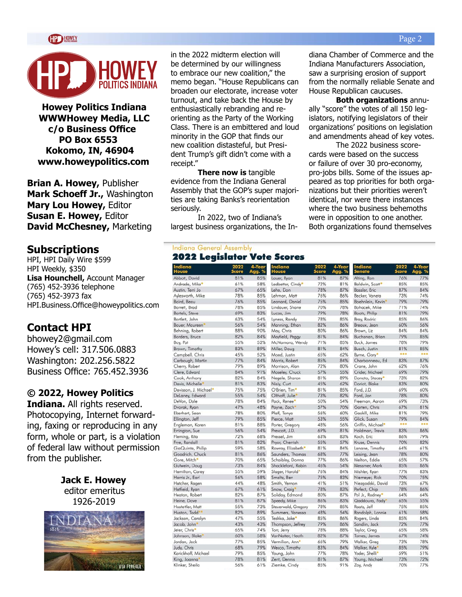

**Howey Politics Indiana WWWHowey Media, LLC c/o Business Office PO Box 6553 Kokomo, IN, 46904 www.howeypolitics.com**

**Brian A. Howey,** Publisher **Mark Schoeff Jr.,** Washington **Mary Lou Howey,** Editor **Susan E. Howey,** Editor **David McChesney,** Marketing

#### **Subscriptions**

HPI, HPI Daily Wire \$599 HPI Weekly, \$350 **Lisa Hounchell,** Account Manager (765) 452-3936 telephone (765) 452-3973 fax HPI.Business.Office@howeypolitics.com

#### **Contact HPI**

bhowey2@gmail.com Howey's cell: 317.506.0883 Washington: 202.256.5822 Business Office: 765.452.3936

#### **© 2022, Howey Politics**

**Indiana.** All rights reserved. Photocopying, Internet forwarding, faxing or reproducing in any form, whole or part, is a violation of federal law without permission from the publisher.

> **Jack E. Howey** editor emeritus 1926-2019



in the 2022 midterm election will be determined by our willingness to embrace our new coalition," the memo began. "House Republicans can broaden our electorate, increase voter turnout, and take back the House by enthusiastically rebranding and reorienting as the Party of the Working Class. There is an embittered and loud minority in the GOP that finds our new coalition distasteful, but President Trump's gift didn't come with a receipt."

**There now is** tangible evidence from the Indiana General Assembly that the GOP's super majorities are taking Banks's reorientation seriously.

In 2022, two of Indiana's largest business organizations, the In-

**Indiano**<br>House Abbott, Dr Andrade, Austin, Ter Avlesworth Baird, Bea Barrett, Br Bartels, Ste Bartlett, Jo Bauer, Ma Behning, Borders, B Boy, Pat Brown, Tir Campbell, Carbauah Cherry, Ro Clere, Edv Cook, Ant Davis, Mic Davisson, DeLaney, 8 DeVon, D Dvorak, Ry Eberhart, Ellington, Engleman Errington, Fleming, Frye, Rand GiaQuinte Goodrich, Gore, Mit Gutwein, I Hamilton Harris Jr., Hatcher, R Hatfield, R Heaton, R Heine, Da Hostettler. Huston, To Jackson, O Jacob, Joh Jeter, Chri Johnson, B Jordan, Ja Judy, Chris Karickhoff King, Joan

Klinker, Sh

#### **Indiana General Assembly 2022 Leaislator Vote Scores**

|                   | 2022<br>Score | 4-Year<br>% | Indiana<br>louse            | 2022<br><b>Score</b> | 4-Year<br>Agg. % | Indiana<br>enate  | 2022<br><b>Score</b> | 4-Year<br>Agg. % |
|-------------------|---------------|-------------|-----------------------------|----------------------|------------------|-------------------|----------------------|------------------|
| ivid              | 81%           | 85%         | Lauer, Ryan                 | 81%                  | 87%              | Alting, Ron       | 76%                  | 77%              |
| Mike <sup>*</sup> | 61%           | 58%         | Ledbetter, Cindy*           | 72%                  | 81%              | Baldwin, Scott*   | 85%                  | 85%              |
| ri Jo             | 67%           | 65%         | Lehe, Don                   | 78%                  | 87%              | Bassler, Eric     | 87%                  | 84%              |
| , Mike            | 78%           | 85%         | Lehman, Matt                | 76%                  | 86%              | Becker, Vaneta    | 73%                  | 74%              |
| U                 | 76%           | 85%         | Leonard, Daniel             | 75%                  | 85%              | Boehnlein, Kevin' | 79%                  | 79%              |
| эd                | 78%           | 85%         | Lindauer, Shane             | 70%                  | 78%              | Bohacek, Mike     | 71%                  | 74%              |
| eve               | 69%           | 83%         | Lucas, Jim                  | 79%                  | 78%              | Boots, Philip     | 81%                  | 79%              |
| hn                | 63%           | 54%         | Lyness, Randy               | 78%                  | 85%              | Bray, Rodric      | 85%                  | 86%              |
| ureen             | 56%           | 54%         | Manning, Ethan              | 82%                  | 86%              | Breaux, Jean      | 60%                  | 56%              |
| obert             | 88%           | 90%         | May, Chris                  | 80%                  | 86%              | Brown, Liz        | 84%                  | 84%              |
| ruce              | 82%           | 84%         | Mayfield, Peggy             | 81%                  | 84%              | Buchanan, Brian   | 79%                  | 85%              |
|                   | 55%           | 52%         | McNamara, Wendy             | 71%                  | 85%              | Buck, James       | 78%                  | 79%              |
| aothy             | 83%           | 89%         | Miller, Doug                | 81%                  | 84%              | Busch, Justin     | 81%                  | 85%              |
| Chris             | 45%           | 52%         | Moed, Justin                | 65%                  | 62%              | Byrne, Gary*      |                      |                  |
| , Martin          | 77%           | 84%         | Morris, Robert              | 85%                  | 84%              | Charbonneau, Ed   | 83%                  | 87%              |
| bert              | 79%           | 89%         | Morrison, Alan              | 72%                  | 80%              | Crane, John       | 62%                  | 76%              |
| rard              | 84%           | 91%         | Moseley, Chuck              | 57%                  | 55%              | Crider, Michael   | 69%                  | 79%              |
| hony              | 82%           | 84%         | Negele, Sharon              | 81%                  | 89%              | Donato, Stacey®   | 73%                  | 82%              |
| helle             | 81%           | 83%         | Nisly, Curt                 | 45%                  | 62%              | Doriot, Blake     | 83%                  | 80%              |
| J. Michael*       | 75%           | 75%         | O'Brien, Tim*               | 81%                  | 85%              | Ford, J.D.        | 69%                  | 60%              |
| dward             | 55%           | 54%         | Olthoff, Julie              | 73%                  | 82%              | Ford, Jon         | 78%                  | 80%              |
| ıle               | 78%           | 84%         | Pack, Renee                 | 50%                  | 54%              | Freeman, Aaron    | 69%                  | 73%              |
| <b>ran</b>        | 47%           | 48%         | Payne, Zach                 | 57%                  | 70%              | Garten, Chris     | 67%                  | 81%              |
| iean              | 78%           | 80%         | Pfaff, Tonya                | 56%                  | 60%              | Gaskill, Mike     | 81%                  | 79%              |
| leff              | 79%           | 85%         | Pierce, Matt                | 53%                  | 55%              | Glick, Susan      | 79%                  | 84%              |
| Karen             | 81%           | 88%         | Porter, Gregory             | 48%                  | 56%              | Griffin, Michael* |                      |                  |
| Sue               | 56%           | 54%         | Prescott, J.D.              | 69%                  | 81%              | Holdman, Travis   | 83%                  | 86%              |
| ita               | 72%           | 68%         | Pressel, Jim                | 63%                  | 83%              | Koch, Eric        | 86%                  | 79%              |
| all               | 81%           | 82%         | Pryor, Cherrish             | 55%                  | 57%              | Kruse, Dennis     | 70%                  | 82%              |
| , Philip          | 59%           | 58%         | Rowray, Elizabeth*          | 81%                  | 84%              | Lanane, Timothy   | 64%                  | 61%              |
| Chuck             | 81%           | 86%         | Saunders, Thomas            | 68%                  | 77%              | Leising, Jean     | 78%                  | 80%              |
| :h*               | 70%           | 65%         | Schaibley, Donna            | 77%                  | 86%              | Melton, Eddie     | 65%                  | 57%              |
| puoC              | 73%           | 84%         | Shackleford, Robin          | 46%                  | 54%              | Messmer, Mark     | 85%                  | 86%              |
| Carey             | 55%           | 59%         | Slager, Harold*             | 76%                  | 84%              | Mishler, Ryan     | 77%                  | 83%              |
| Earl              | 56%           | 58%         | Smaltz, Ben                 | 75%                  | 83%              | Niemeyer, Rick    | 70%                  | 75%              |
| agen              | 44%           | 48%         | Smith, Vernon               | 41%                  | 51%              | Niezgodski, David | 73%                  | 67%              |
| yan               | 67%           | 61%         | Snow, Craig                 | 78%                  | 83%              | Perfect, Chip     | 78%                  | 86%              |
| bert              | 82%           | 87%         | Soliday, Edmond             | 80%                  | 87%              | Pol Jr., Rodney*  | 64%                  | 64%              |
| ve                | 81%           | 87%         | Speedy, Mike                | 86%                  | 83%              | Qaddoura, Fady*   | 65%                  | 55%              |
| Matt              | 55%           | 73%         | Steuerwald, Gregory         | 78%                  | 85%              | Raatz, Jeff       | 75%                  | 85%              |
| dd                | 82%           | 89%         | Summers, Vanessa            | 48%                  | 54%              | Randolph, Lonnie  | 61%                  | 58%              |
| arolyn            | 47%           | 55%         | Teshka, Jake                | 85%                  | 86%              | Rogers, Linda     | 85%                  | 84%              |
| 'n                | 43%           | 43%         | Thompson, Jeffrey           | 79%                  | 86%              | Sandlin, Jack     | 72%                  | 77%              |
| ŗ.                | 65%           | 74%         | Torr, Jerry                 | 78%                  | 88%              | Taylor, Greg      | 65%                  | 58%              |
| <b>I</b> lake     | 60%           | 58%         | VanNatter, Heath            | 82%                  | 87%              | Tomes, James      | 67%                  | 74%              |
| ck                | 77%           | 85%         | Vermilion, Ann <sup>®</sup> | 66%                  | 79%              | Walker, Greg      | 73%                  | 78%              |
|                   | 68%           | 79%         | Wesco, Timothy              | 83%                  | 84%              | Walker, Kyle      | 85%                  | 79%              |
| Michael           | 79%           | 85%         | Young, John                 | 77%                  | 78%              | Yoder, Shelli*    | 59%                  | 51%              |
| na                | 78%           | 81%         | Zent, Dennis                | 81%                  | 87%              | Young, Michael    | 73%                  | 72%              |
| eila              | 56%           | 61%         | Ziemke, Cindy               | 85%                  | 91%              | Zay, Andy         | 70%                  | 77%              |
|                   |               |             |                             |                      |                  |                   |                      |                  |

diana Chamber of Commerce and the Indiana Manufacturers Association, saw a surprising erosion of support from the normally reliable Senate and House Republican caucuses.

**Both organizations** annually "score" the votes of all 150 legislators, notifying legislators of their organizations' positions on legislation and amendments ahead of key votes.

The 2022 business scorecards were based on the success or failure of over 30 pro-economy, pro-jobs bills. Some of the issues appeared as top priorities for both organizations but their priorities weren't identical, nor were there instances where the two business behemoths were in opposition to one another. Both organizations found themselves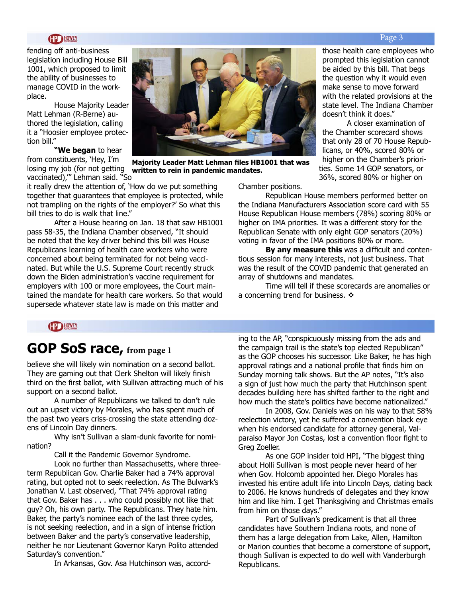#### **HOWEY**

fending off anti-business legislation including House Bill 1001, which proposed to limit the ability of businesses to manage COVID in the workplace.

House Majority Leader Matt Lehman (R-Berne) authored the legislation, calling it a "Hoosier employee protection bill."

**"We began** to hear from constituents, 'Hey, I'm losing my job (for not getting **written to rein in pandemic mandates.**vaccinated),'" Lehman said. "So

it really drew the attention of, 'How do we put something together that guarantees that employee is protected, while not trampling on the rights of the employer?' So what this bill tries to do is walk that line."

After a House hearing on Jan. 18 that saw HB1001 pass 58-35, the Indiana Chamber observed, "It should be noted that the key driver behind this bill was House Republicans learning of health care workers who were concerned about being terminated for not being vaccinated. But while the U.S. Supreme Court recently struck down the Biden administration's vaccine requirement for employers with 100 or more employees, the Court maintained the mandate for health care workers. So that would supersede whatever state law is made on this matter and

Chamber positions.

Republican House members performed better on the Indiana Manufacturers Association score card with 55 House Republican House members (78%) scoring 80% or higher on IMA priorities. It was a different story for the Republican Senate with only eight GOP senators (20%) voting in favor of the IMA positions 80% or more.

**By any measure this** was a difficult and contentious session for many interests, not just business. That was the result of the COVID pandemic that generated an array of shutdowns and mandates.

Time will tell if these scorecards are anomalies or a concerning trend for business.  $\cdot\cdot\cdot$ 

**HP HOWEY** 

### **GOP SoS race, from page 1**

believe she will likely win nomination on a second ballot. They are gaming out that Clerk Shelton will likely finish third on the first ballot, with Sullivan attracting much of his support on a second ballot.

A number of Republicans we talked to don't rule out an upset victory by Morales, who has spent much of the past two years criss-crossing the state attending dozens of Lincoln Day dinners.

Why isn't Sullivan a slam-dunk favorite for nomination?

Call it the Pandemic Governor Syndrome.

Look no further than Massachusetts, where threeterm Republican Gov. Charlie Baker had a 74% approval rating, but opted not to seek reelection. As The Bulwark's Jonathan V. Last observed, "That 74% approval rating that Gov. Baker has . . . who could possibly not like that guy? Oh, his own party. The Republicans. They hate him. Baker, the party's nominee each of the last three cycles, is not seeking reelection, and in a sign of intense friction between Baker and the party's conservative leadership, neither he nor Lieutenant Governor Karyn Polito attended Saturday's convention."

In Arkansas, Gov. Asa Hutchinson was, accord-

ing to the AP, "conspicuously missing from the ads and the campaign trail is the state's top elected Republican" as the GOP chooses his successor. Like Baker, he has high approval ratings and a national profile that finds him on Sunday morning talk shows. But the AP notes, "It's also a sign of just how much the party that Hutchinson spent decades building here has shifted farther to the right and how much the state's politics have become nationalized."

In 2008, Gov. Daniels was on his way to that 58% reelection victory, yet he suffered a convention black eye when his endorsed candidate for attorney general, Valparaiso Mayor Jon Costas, lost a convention floor fight to Greg Zoeller.

As one GOP insider told HPI, "The biggest thing about Holli Sullivan is most people never heard of her when Gov. Holcomb appointed her. Diego Morales has invested his entire adult life into Lincoln Days, dating back to 2006. He knows hundreds of delegates and they know him and like him. I get Thanksgiving and Christmas emails from him on those days."

Part of Sullivan's predicament is that all three candidates have Southern Indiana roots, and none of them has a large delegation from Lake, Allen, Hamilton or Marion counties that become a cornerstone of support, though Sullivan is expected to do well with Vanderburgh Republicans.

**Majority Leader Matt Lehman files HB1001 that was** 



#### Page 3

A closer examination of

the Chamber scorecard shows that only 28 of 70 House Republicans, or 40%, scored 80% or higher on the Chamber's priorities. Some 14 GOP senators, or 36%, scored 80% or higher on

those health care employees who prompted this legislation cannot be aided by this bill. That begs the question why it would even make sense to move forward with the related provisions at the state level. The Indiana Chamber

doesn't think it does."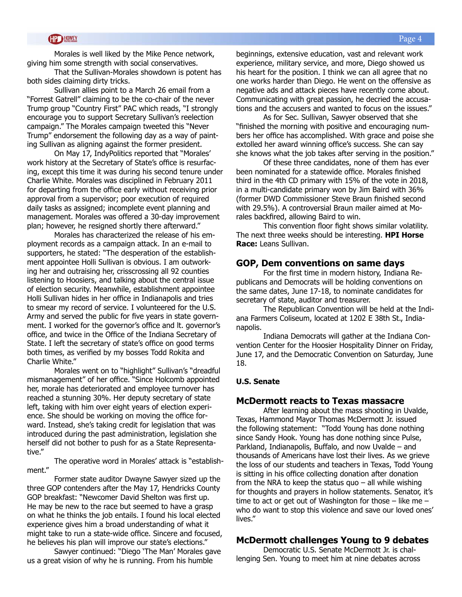Morales is well liked by the Mike Pence network, giving him some strength with social conservatives.

That the Sullivan-Morales showdown is potent has both sides claiming dirty tricks.

Sullivan allies point to a March 26 email from a "Forrest Gatrell" claiming to be the co-chair of the never Trump group "Country First" PAC which reads, "I strongly encourage you to support Secretary Sullivan's reelection campaign." The Morales campaign tweeted this "Never Trump" endorsement the following day as a way of painting Sullivan as aligning against the former president.

On May 17, IndyPolitics reported that "Morales' work history at the Secretary of State's office is resurfacing, except this time it was during his second tenure under Charlie White. Morales was disciplined in February 2011 for departing from the office early without receiving prior approval from a supervisor; poor execution of required daily tasks as assigned; incomplete event planning and management. Morales was offered a 30-day improvement plan; however, he resigned shortly there afterward."

Morales has characterized the release of his employment records as a campaign attack. In an e-mail to supporters, he stated: "The desperation of the establishment appointee Holli Sullivan is obvious. I am outworking her and outraising her, crisscrossing all 92 counties listening to Hoosiers, and talking about the central issue of election security. Meanwhile, establishment appointee Holli Sullivan hides in her office in Indianapolis and tries to smear my record of service. I volunteered for the U.S. Army and served the public for five years in state government. I worked for the governor's office and lt. governor's office, and twice in the Office of the Indiana Secretary of State. I left the secretary of state's office on good terms both times, as verified by my bosses Todd Rokita and Charlie White."

Morales went on to "highlight" Sullivan's "dreadful mismanagement" of her office. "Since Holcomb appointed her, morale has deteriorated and employee turnover has reached a stunning 30%. Her deputy secretary of state left, taking with him over eight years of election experience. She should be working on moving the office forward. Instead, she's taking credit for legislation that was introduced during the past administration, legislation she herself did not bother to push for as a State Representative."

The operative word in Morales' attack is "establishment."

Former state auditor Dwayne Sawyer sized up the three GOP contenders after the May 17, Hendricks County GOP breakfast: "Newcomer David Shelton was first up. He may be new to the race but seemed to have a grasp on what he thinks the job entails. I found his local elected experience gives him a broad understanding of what it might take to run a state-wide office. Sincere and focused, he believes his plan will improve our state's elections."

Sawyer continued: "Diego 'The Man' Morales gave us a great vision of why he is running. From his humble

beginnings, extensive education, vast and relevant work experience, military service, and more, Diego showed us his heart for the position. I think we can all agree that no one works harder than Diego. He went on the offensive as negative ads and attack pieces have recently come about. Communicating with great passion, he decried the accusations and the accusers and wanted to focus on the issues."

As for Sec. Sullivan, Sawyer observed that she "finished the morning with positive and encouraging numbers her office has accomplished. With grace and poise she extolled her award winning office's success. She can say she knows what the job takes after serving in the position."

Of these three candidates, none of them has ever been nominated for a statewide office. Morales finished third in the 4th CD primary with 15% of the vote in 2018, in a multi-candidate primary won by Jim Baird with 36% (former DWD Commissioner Steve Braun finished second with 29.5%). A controversial Braun mailer aimed at Morales backfired, allowing Baird to win.

This convention floor fight shows similar volatility. The next three weeks should be interesting. **HPI Horse Race:** Leans Sullivan.

#### **GOP, Dem conventions on same days**

For the first time in modern history, Indiana Republicans and Democrats will be holding conventions on the same dates, June 17-18, to nominate candidates for secretary of state, auditor and treasurer.

The Republican Convention will be held at the Indiana Farmers Coliseum, located at 1202 E 38th St., Indianapolis.

Indiana Democrats will gather at the Indiana Convention Center for the Hoosier Hospitality Dinner on Friday, June 17, and the Democratic Convention on Saturday, June 18.

#### **U.S. Senate**

#### **McDermott reacts to Texas massacre**

After learning about the mass shooting in Uvalde, Texas, Hammond Mayor Thomas McDermott Jr. issued the following statement: "Todd Young has done nothing since Sandy Hook. Young has done nothing since Pulse, Parkland, Indianapolis, Buffalo, and now Uvalde – and thousands of Americans have lost their lives. As we grieve the loss of our students and teachers in Texas, Todd Young is sitting in his office collecting donation after donation from the NRA to keep the status quo  $-$  all while wishing for thoughts and prayers in hollow statements. Senator, it's time to act or get out of Washington for those  $-$  like me  $$ who do want to stop this violence and save our loved ones' lives."

#### **McDermott challenges Young to 9 debates**

Democratic U.S. Senate McDermott Jr. is challenging Sen. Young to meet him at nine debates across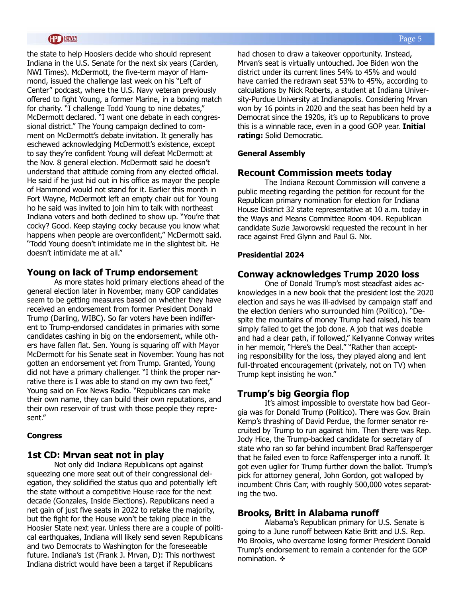the state to help Hoosiers decide who should represent Indiana in the U.S. Senate for the next six years (Carden, NWI Times). McDermott, the five-term mayor of Hammond, issued the challenge last week on his "Left of Center" podcast, where the U.S. Navy veteran previously offered to fight Young, a former Marine, in a boxing match for charity. "I challenge Todd Young to nine debates," McDermott declared. "I want one debate in each congressional district." The Young campaign declined to comment on McDermott's debate invitation. It generally has eschewed acknowledging McDermott's existence, except to say they're confident Young will defeat McDermott at the Nov. 8 general election. McDermott said he doesn't understand that attitude coming from any elected official. He said if he just hid out in his office as mayor the people of Hammond would not stand for it. Earlier this month in Fort Wayne, McDermott left an empty chair out for Young ho he said was invited to join him to talk with northeast Indiana voters and both declined to show up. "You're that cocky? Good. Keep staying cocky because you know what happens when people are overconfident," McDermott said. "Todd Young doesn't intimidate me in the slightest bit. He doesn't intimidate me at all."

#### **Young on lack of Trump endorsement**

As more states hold primary elections ahead of the general election later in November, many GOP candidates seem to be getting measures based on whether they have received an endorsement from former President Donald Trump (Darling, WIBC). So far voters have been indifferent to Trump-endorsed candidates in primaries with some candidates cashing in big on the endorsement, while others have fallen flat. Sen. Young is squaring off with Mayor McDermott for his Senate seat in November. Young has not gotten an endorsement yet from Trump. Granted, Young did not have a primary challenger. "I think the proper narrative there is I was able to stand on my own two feet," Young said on Fox News Radio. "Republicans can make their own name, they can build their own reputations, and their own reservoir of trust with those people they represent."

#### **Congress**

#### **1st CD: Mrvan seat not in play**

Not only did Indiana Republicans opt against squeezing one more seat out of their congressional delegation, they solidified the status quo and potentially left the state without a competitive House race for the next decade (Gonzales, Inside Elections). Republicans need a net gain of just five seats in 2022 to retake the majority, but the fight for the House won't be taking place in the Hoosier State next year. Unless there are a couple of political earthquakes, Indiana will likely send seven Republicans and two Democrats to Washington for the foreseeable future. Indiana's 1st (Frank J. Mrvan, D): This northwest Indiana district would have been a target if Republicans

Page 5

had chosen to draw a takeover opportunity. Instead, Mrvan's seat is virtually untouched. Joe Biden won the district under its current lines 54% to 45% and would have carried the redrawn seat 53% to 45%, according to calculations by Nick Roberts, a student at Indiana University-Purdue University at Indianapolis. Considering Mrvan won by 16 points in 2020 and the seat has been held by a Democrat since the 1920s, it's up to Republicans to prove this is a winnable race, even in a good GOP year. **Initial rating:** Solid Democratic.

#### **General Assembly**

#### **Recount Commission meets today**

The Indiana Recount Commission will convene a public meeting regarding the petition for recount for the Republican primary nomination for election for Indiana House District 32 state representative at 10 a.m. today in the Ways and Means Committee Room 404. Republican candidate Suzie Jaworowski requested the recount in her race against Fred Glynn and Paul G. Nix.

#### **Presidential 2024**

#### **Conway acknowledges Trump 2020 loss**

One of Donald Trump's most steadfast aides acknowledges in a new book that the president lost the 2020 election and says he was ill-advised by campaign staff and the election deniers who surrounded him (Politico). "Despite the mountains of money Trump had raised, his team simply failed to get the job done. A job that was doable and had a clear path, if followed," Kellyanne Conway writes in her memoir, "Here's the Deal." "Rather than accepting responsibility for the loss, they played along and lent full-throated encouragement (privately, not on TV) when Trump kept insisting he won."

#### **Trump's big Georgia flop**

It's almost impossible to overstate how bad Georgia was for Donald Trump (Politico). There was Gov. Brain Kemp's thrashing of David Perdue, the former senator recruited by Trump to run against him. Then there was Rep. Jody Hice, the Trump-backed candidate for secretary of state who ran so far behind incumbent Brad Raffensperger that he failed even to force Raffensperger into a runoff. It got even uglier for Trump further down the ballot. Trump's pick for attorney general, John Gordon, got walloped by incumbent Chris Carr, with roughly 500,000 votes separating the two.

#### **Brooks, Britt in Alabama runoff**

Alabama's Republican primary for U.S. Senate is going to a June runoff between Katie Britt and U.S. Rep. Mo Brooks, who overcame losing former President Donald Trump's endorsement to remain a contender for the GOP nomination.  $\cdot$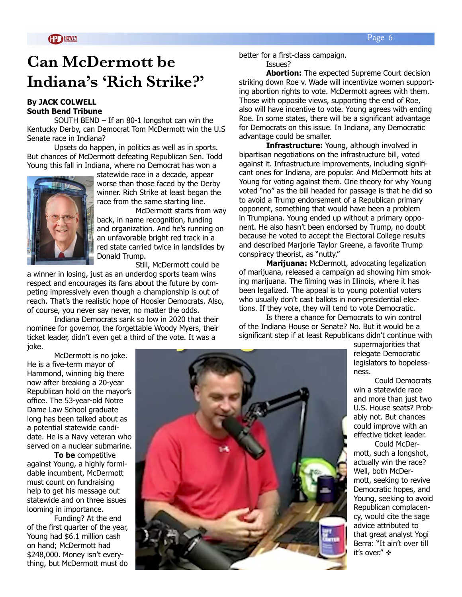# **Can McDermott be Indiana's 'Rich Strike?'**

#### **By JACK COLWELL South Bend Tribune**

SOUTH BEND – If an 80-1 longshot can win the Kentucky Derby, can Democrat Tom McDermott win the U.S Senate race in Indiana?

Upsets do happen, in politics as well as in sports. But chances of McDermott defeating Republican Sen. Todd Young this fall in Indiana, where no Democrat has won a



statewide race in a decade, appear worse than those faced by the Derby winner. Rich Strike at least began the race from the same starting line.

 McDermott starts from way back, in name recognition, funding and organization. And he's running on an unfavorable bright red track in a red state carried twice in landslides by Donald Trump.

Still, McDermott could be

a winner in losing, just as an underdog sports team wins respect and encourages its fans about the future by competing impressively even though a championship is out of reach. That's the realistic hope of Hoosier Democrats. Also, of course, you never say never, no matter the odds.

 Indiana Democrats sank so low in 2020 that their nominee for governor, the forgettable Woody Myers, their ticket leader, didn't even get a third of the vote. It was a joke.

 McDermott is no joke. He is a five-term mayor of Hammond, winning big there now after breaking a 20-year Republican hold on the mayor's office. The 53-year-old Notre Dame Law School graduate long has been talked about as a potential statewide candidate. He is a Navy veteran who served on a nuclear submarine.

 **To be** competitive against Young, a highly formidable incumbent, McDermott must count on fundraising help to get his message out statewide and on three issues looming in importance.

 Funding? At the end of the first quarter of the year, Young had \$6.1 million cash on hand; McDermott had \$248,000. Money isn't everything, but McDermott must do



better for a first-class campaign. Issues?

**Abortion:** The expected Supreme Court decision striking down Roe v. Wade will incentivize women supporting abortion rights to vote. McDermott agrees with them. Those with opposite views, supporting the end of Roe, also will have incentive to vote. Young agrees with ending Roe. In some states, there will be a significant advantage for Democrats on this issue. In Indiana, any Democratic advantage could be smaller.

 **Infrastructure:** Young, although involved in bipartisan negotiations on the infrastructure bill, voted against it. Infrastructure improvements, including significant ones for Indiana, are popular. And McDermott hits at Young for voting against them. One theory for why Young voted "no" as the bill headed for passage is that he did so to avoid a Trump endorsement of a Republican primary opponent, something that would have been a problem in Trumpiana. Young ended up without a primary opponent. He also hasn't been endorsed by Trump, no doubt because he voted to accept the Electoral College results and described Marjorie Taylor Greene, a favorite Trump conspiracy theorist, as "nutty."

 **Marijuana:** McDermott, advocating legalization of marijuana, released a campaign ad showing him smoking marijuana. The filming was in Illinois, where it has been legalized. The appeal is to young potential voters who usually don't cast ballots in non-presidential elections. If they vote, they will tend to vote Democratic.

 Is there a chance for Democrats to win control of the Indiana House or Senate? No. But it would be a significant step if at least Republicans didn't continue with

> supermajorities that relegate Democratic legislators to hopelessness.

 Could Democrats win a statewide race and more than just two U.S. House seats? Probably not. But chances could improve with an effective ticket leader.

 Could McDermott, such a longshot, actually win the race? Well, both McDermott, seeking to revive Democratic hopes, and Young, seeking to avoid Republican complacency, would cite the sage advice attributed to that great analyst Yogi Berra: "It ain't over till it's over." ❖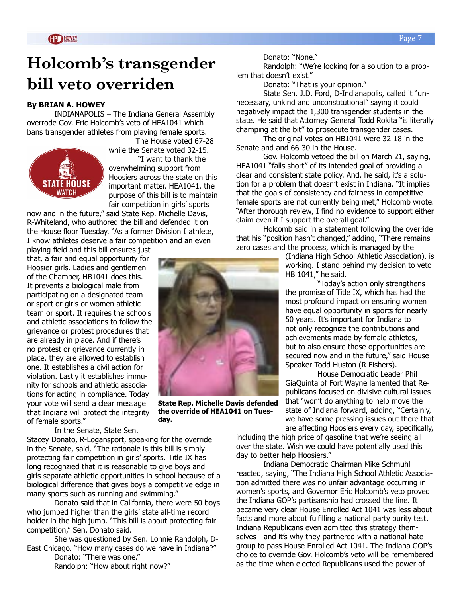# **Holcomb's transgender bill veto overriden**

#### **By BRIAN A. HOWEY**

INDIANAPOLIS – The Indiana General Assembly overrode Gov. Eric Holcomb's veto of HEA1041 which bans transgender athletes from playing female sports.



The House voted 67-28 while the Senate voted 32-15. "I want to thank the overwhelming support from Hoosiers across the state on this important matter. HEA1041, the purpose of this bill is to maintain fair competition in girls' sports

now and in the future," said State Rep. Michelle Davis, R-Whiteland, who authored the bill and defended it on the House floor Tuesday. "As a former Division I athlete, I know athletes deserve a fair competition and an even playing field and this bill ensures just

that, a fair and equal opportunity for Hoosier girls. Ladies and gentlemen of the Chamber, HB1041 does this. It prevents a biological male from participating on a designated team or sport or girls or women athletic team or sport. It requires the schools and athletic associations to follow the grievance or protest procedures that are already in place. And if there's no protest or grievance currently in place, they are allowed to establish one. It establishes a civil action for violation. Lastly it establishes immunity for schools and athletic associations for acting in compliance. Today your vote will send a clear message that Indiana will protect the integrity of female sports."

In the Senate, State Sen.

Stacey Donato, R-Logansport, speaking for the override in the Senate, said, "The rationale is this bill is simply protecting fair competition in girls' sports. Title IX has long recognzied that it is reasonable to give boys and girls separate athletic opportunities in school because of a biological difference that gives boys a competitive edge in many sports such as running and swimming."

Donato said that in California, there were 50 boys who jumped higher than the girls' state all-time record holder in the high jump. "This bill is about protecting fair competition," Sen. Donato said.

She was questioned by Sen. Lonnie Randolph, D-East Chicago. "How many cases do we have in Indiana?"

Donato: "There was one." Randolph: "How about right now?"



**State Rep. Michelle Davis defended the override of HEA1041 on Tuesday.**

Donato: "None."

Randolph: "We're looking for a solution to a problem that doesn't exist."

Donato: "That is your opinion."

State Sen. J.D. Ford, D-Indianapolis, called it "unnecessary, unkind and unconstitutional" saying it could negatively impact the 1,300 transgender students in the state. He said that Attorney General Todd Rokita "is literally champing at the bit" to prosecute transgender cases.

The original votes on HB1041 were 32-18 in the Senate and and 66-30 in the House.

Gov. Holcomb vetoed the bill on March 21, saying, HEA1041 "falls short" of its intended goal of providing a clear and consistent state policy. And, he said, it's a solution for a problem that doesn't exist in Indiana. "It implies that the goals of consistency and fairness in competitive female sports are not currently being met," Holcomb wrote. "After thorough review, I find no evidence to support either claim even if I support the overall goal."

Holcomb said in a statement following the override that his "position hasn't changed," adding, "There remains zero cases and the process, which is managed by the

> (Indiana High School Athletic Association), is working. I stand behind my decision to veto HB 1041," he said.

 "Today's action only strengthens the promise of Title IX, which has had the most profound impact on ensuring women have equal opportunity in sports for nearly 50 years. It's important for Indiana to not only recognize the contributions and achievements made by female athletes, but to also ensure those opportunities are secured now and in the future," said House Speaker Todd Huston (R-Fishers).

 House Democratic Leader Phil GiaQuinta of Fort Wayne lamented that Republicans focused on divisive cultural issues that "won't do anything to help move the state of Indiana forward, adding, "Certainly, we have some pressing issues out there that are affecting Hoosiers every day, specifically,

including the high price of gasoline that we're seeing all over the state. Wish we could have potentially used this day to better help Hoosiers."

Indiana Democratic Chairman Mike Schmuhl reacted, saying, "The Indiana High School Athletic Association admitted there was no unfair advantage occurring in women's sports, and Governor Eric Holcomb's veto proved the Indiana GOP's partisanship had crossed the line. It became very clear House Enrolled Act 1041 was less about facts and more about fulfilling a national party purity test. Indiana Republicans even admitted this strategy themselves - and it's why they partnered with a national hate group to pass House Enrolled Act 1041. The Indiana GOP's choice to override Gov. Holcomb's veto will be remembered as the time when elected Republicans used the power of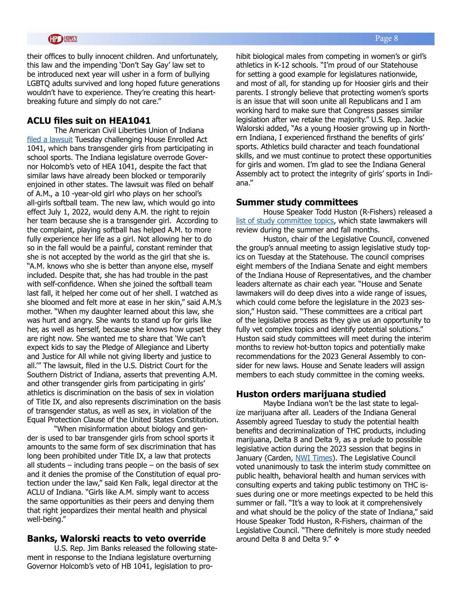their offices to bully innocent children. And unfortunately, this law and the impending 'Don't Say Gay' law set to be introduced next year will usher in a form of bullying LGBTQ adults survived and long hoped future generations wouldn't have to experience. They're creating this heartbreaking future and simply do not care."

#### **ACLU files suit on HEA1041**

The American Civil Liberties Union of Indiana [filed a lawsuit](https://www.aclu-in.org/en/press-releases/trans-athlete-ban-immediately-challenged-aclu-indiana) Tuesday challenging House Enrolled Act 1041, which bans transgender girls from participating in school sports. The Indiana legislature overrode Governor Holcomb's veto of HEA 1041, despite the fact that similar laws have already been blocked or temporarily enjoined in other states. The lawsuit was filed on behalf of A.M., a 10 -year-old girl who plays on her school's all-girls softball team. The new law, which would go into effect July 1, 2022, would deny A.M. the right to rejoin her team because she is a transgender girl. According to the complaint, playing softball has helped A.M. to more fully experience her life as a girl. Not allowing her to do so in the fall would be a painful, constant reminder that she is not accepted by the world as the girl that she is. "A.M. knows who she is better than anyone else, myself included. Despite that, she has had trouble in the past with self-confidence. When she joined the softball team last fall, it helped her come out of her shell. I watched as she bloomed and felt more at ease in her skin," said A.M.'s mother. "When my daughter learned about this law, she was hurt and angry. She wants to stand up for girls like her, as well as herself, because she knows how upset they are right now. She wanted me to share that 'We can't expect kids to say the Pledge of Allegiance and Liberty and Justice for All while not giving liberty and justice to all.'" The lawsuit, filed in the U.S. District Court for the Southern District of Indiana, asserts that preventing A.M. and other transgender girls from participating in girls' athletics is discrimination on the basis of sex in violation of Title IX, and also represents discrimination on the basis of transgender status, as well as sex, in violation of the Equal Protection Clause of the United States Constitution.

"When misinformation about biology and gender is used to bar transgender girls from school sports it amounts to the same form of sex discrimination that has long been prohibited under Title IX, a law that protects all students  $-$  including trans people  $-$  on the basis of sex and it denies the promise of the Constitution of equal protection under the law," said Ken Falk, legal director at the ACLU of Indiana. "Girls like A.M. simply want to access the same opportunities as their peers and denying them that right jeopardizes their mental health and physical well-being."

#### **Banks, Walorski reacts to veto override**

U.S. Rep. Jim Banks released the following statement in response to the Indiana legislature overturning Governor Holcomb's veto of HB 1041, legislation to prohibit biological males from competing in women's or girl's athletics in K-12 schools. "I'm proud of our Statehouse for setting a good example for legislatures nationwide, and most of all, for standing up for Hoosier girls and their parents. I strongly believe that protecting women's sports is an issue that will soon unite all Republicans and I am working hard to make sure that Congress passes similar legislation after we retake the majority." U.S. Rep. Jackie Walorski added, "As a young Hoosier growing up in Northern Indiana, I experienced firsthand the benefits of girls' sports. Athletics build character and teach foundational skills, and we must continue to protect these opportunities for girls and women. I'm glad to see the Indiana General Assembly act to protect the integrity of girls' sports in Indiana."

#### **Summer study committees**

House Speaker Todd Huston (R-Fishers) released a [list of study committee topics,](http://iga.in.gov/documents/ef4b4ee7) which state lawmakers will review during the summer and fall months.

Huston, chair of the Legislative Council, convened the group's annual meeting to assign legislative study topics on Tuesday at the Statehouse. The council comprises eight members of the Indiana Senate and eight members of the Indiana House of Representatives, and the chamber leaders alternate as chair each year. "House and Senate lawmakers will do deep dives into a wide range of issues, which could come before the legislature in the 2023 session," Huston said. "These committees are a critical part of the legislative process as they give us an opportunity to fully vet complex topics and identify potential solutions." Huston said study committees will meet during the interim months to review hot-button topics and potentially make recommendations for the 2023 General Assembly to consider for new laws. House and Senate leaders will assign members to each study committee in the coming weeks.

#### **Huston orders marijuana studied**

Maybe Indiana won't be the last state to legalize marijuana after all. Leaders of the Indiana General Assembly agreed Tuesday to study the potential health benefits and decriminalization of THC products, including marijuana, Delta 8 and Delta 9, as a prelude to possible legislative action during the 2023 session that begins in January (Carden, [NWI Times](https://www.nwitimes.com/news/local/govt-and-politics/hoosier-lawmakers-to-study-health-benefits-potential-legalization-of-marijuana/article_a5f6ab90-536b-5264-8494-e92388b7a9c0.html?utm_source=nwitimes.com&utm_campaign=%2Fnewsletter-templates%2Fnews-alert&utm_medium=PostUp&utm_content=9468787a382441e8357064066640bb36840fff2d)). The Legislative Council voted unanimously to task the interim study committee on public health, behavioral health and human services with consulting experts and taking public testimony on THC issues during one or more meetings expected to be held this summer or fall. "It's a way to look at it comprehensively and what should be the policy of the state of Indiana," said House Speaker Todd Huston, R-Fishers, chairman of the Legislative Council. "There definitely is more study needed around Delta 8 and Delta 9."  $\div$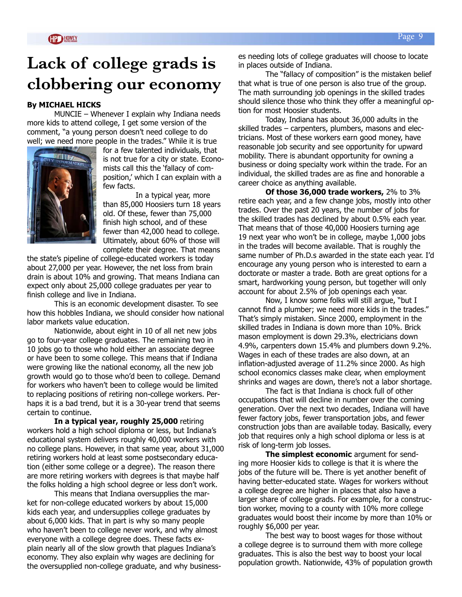# **Lack of college grads is clobbering our economy**

#### **By MICHAEL HICKS**

MUNCIE – Whenever I explain why Indiana needs more kids to attend college, I get some version of the comment, "a young person doesn't need college to do well; we need more people in the trades." While it is true



for a few talented individuals, that is not true for a city or state. Economists call this the 'fallacy of composition,' which I can explain with a few facts.

 In a typical year, more than 85,000 Hoosiers turn 18 years old. Of these, fewer than 75,000 finish high school, and of these fewer than 42,000 head to college. Ultimately, about 60% of those will complete their degree. That means

the state's pipeline of college-educated workers is today about 27,000 per year. However, the net loss from brain drain is about 10% and growing. That means Indiana can expect only about 25,000 college graduates per year to finish college and live in Indiana.

This is an economic development disaster. To see how this hobbles Indiana, we should consider how national labor markets value education.

Nationwide, about eight in 10 of all net new jobs go to four-year college graduates. The remaining two in 10 jobs go to those who hold either an associate degree or have been to some college. This means that if Indiana were growing like the national economy, all the new job growth would go to those who'd been to college. Demand for workers who haven't been to college would be limited to replacing positions of retiring non-college workers. Perhaps it is a bad trend, but it is a 30-year trend that seems certain to continue.

**In a typical year, roughly 25,000** retiring workers hold a high school diploma or less, but Indiana's educational system delivers roughly 40,000 workers with no college plans. However, in that same year, about 31,000 retiring workers hold at least some postsecondary education (either some college or a degree). The reason there are more retiring workers with degrees is that maybe half the folks holding a high school degree or less don't work.

This means that Indiana oversupplies the market for non-college educated workers by about 15,000 kids each year, and undersupplies college graduates by about 6,000 kids. That in part is why so many people who haven't been to college never work, and why almost everyone with a college degree does. These facts explain nearly all of the slow growth that plagues Indiana's economy. They also explain why wages are declining for the oversupplied non-college graduate, and why businesses needing lots of college graduates will choose to locate in places outside of Indiana.

The "fallacy of composition" is the mistaken belief that what is true of one person is also true of the group. The math surrounding job openings in the skilled trades should silence those who think they offer a meaningful option for most Hoosier students.

Today, Indiana has about 36,000 adults in the skilled trades – carpenters, plumbers, masons and electricians. Most of these workers earn good money, have reasonable job security and see opportunity for upward mobility. There is abundant opportunity for owning a business or doing specialty work within the trade. For an individual, the skilled trades are as fine and honorable a career choice as anything available.

**Of those 36,000 trade workers,** 2% to 3% retire each year, and a few change jobs, mostly into other trades. Over the past 20 years, the number of jobs for the skilled trades has declined by about 0.5% each year. That means that of those 40,000 Hoosiers turning age 19 next year who won't be in college, maybe 1,000 jobs in the trades will become available. That is roughly the same number of Ph.D.s awarded in the state each year. I'd encourage any young person who is interested to earn a doctorate or master a trade. Both are great options for a smart, hardworking young person, but together will only account for about 2.5% of job openings each year.

Now, I know some folks will still argue, "but I cannot find a plumber; we need more kids in the trades." That's simply mistaken. Since 2000, employment in the skilled trades in Indiana is down more than 10%. Brick mason employment is down 29.3%, electricians down 4.9%, carpenters down 15.4% and plumbers down 9.2%. Wages in each of these trades are also down, at an inflation-adjusted average of 11.2% since 2000. As high school economics classes make clear, when employment shrinks and wages are down, there's not a labor shortage.

The fact is that Indiana is chock full of other occupations that will decline in number over the coming generation. Over the next two decades, Indiana will have fewer factory jobs, fewer transportation jobs, and fewer construction jobs than are available today. Basically, every job that requires only a high school diploma or less is at risk of long-term job losses.

**The simplest economic** argument for sending more Hoosier kids to college is that it is where the jobs of the future will be. There is yet another benefit of having better-educated state. Wages for workers without a college degree are higher in places that also have a larger share of college grads. For example, for a construction worker, moving to a county with 10% more college graduates would boost their income by more than 10% or roughly \$6,000 per year.

The best way to boost wages for those without a college degree is to surround them with more college graduates. This is also the best way to boost your local population growth. Nationwide, 43% of population growth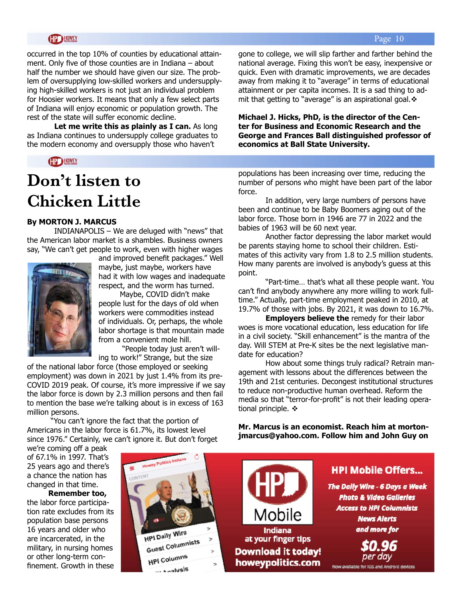#### **HOWEY**

occurred in the top 10% of counties by educational attainment. Only five of those counties are in Indiana – about half the number we should have given our size. The problem of oversupplying low-skilled workers and undersupplying high-skilled workers is not just an individual problem for Hoosier workers. It means that only a few select parts of Indiana will enjoy economic or population growth. The rest of the state will suffer economic decline.

**Let me write this as plainly as I can.** As long as Indiana continues to undersupply college graduates to the modern economy and oversupply those who haven't

#### **CP HOWEY**

# **Don't listen to Chicken Little**

#### **By MORTON J. MARCUS**

INDIANAPOLIS – We are deluged with "news" that the American labor market is a shambles. Business owners say, "We can't get people to work, even with higher wages



and improved benefit packages." Well maybe, just maybe, workers have had it with low wages and inadequate respect, and the worm has turned.

 Maybe, COVID didn't make people lust for the days of old when workers were commodities instead of individuals. Or, perhaps, the whole labor shortage is that mountain made from a convenient mole hill.

 "People today just aren't willing to work!" Strange, but the size

of the national labor force (those employed or seeking employment) was down in 2021 by just 1.4% from its pre-COVID 2019 peak. Of course, it's more impressive if we say the labor force is down by 2.3 million persons and then fail to mention the base we're talking about is in excess of 163 million persons.

 "You can't ignore the fact that the portion of Americans in the labor force is 61.7%, its lowest level since 1976." Certainly, we can't ignore it. But don't forget gone to college, we will slip farther and farther behind the national average. Fixing this won't be easy, inexpensive or quick. Even with dramatic improvements, we are decades away from making it to "average" in terms of educational attainment or per capita incomes. It is a sad thing to admit that getting to "average" is an aspirational goal. $\div$ 

**Michael J. Hicks, PhD, is the director of the Center for Business and Economic Research and the George and Frances Ball distinguished professor of economics at Ball State University.** 

populations has been increasing over time, reducing the number of persons who might have been part of the labor force.

In addition, very large numbers of persons have been and continue to be Baby Boomers aging out of the labor force. Those born in 1946 are 77 in 2022 and the babies of 1963 will be 60 next year.

 Another factor depressing the labor market would be parents staying home to school their children. Estimates of this activity vary from 1.8 to 2.5 million students. How many parents are involved is anybody's guess at this point.

 "Part-time… that's what all these people want. You can't find anybody anywhere any more willing to work fulltime." Actually, part-time employment peaked in 2010, at 19.7% of those with jobs. By 2021, it was down to 16.7%.

**Employers believe the** remedy for their labor woes is more vocational education, less education for life in a civil society. "Skill enhancement" is the mantra of the day. Will STEM at Pre-K sites be the next legislative mandate for education?

How about some things truly radical? Retrain management with lessons about the differences between the 19th and 21st centuries. Decongest institutional structures to reduce non-productive human overhead. Reform the media so that "terror-for-profit" is not their leading operational principle.  $\triangleleft$ 

**Mr. Marcus is an economist. Reach him at mortonjmarcus@yahoo.com. Follow him and John Guy on** 

we're coming off a peak of 67.1% in 1997. That's 25 years ago and there's a chance the nation has changed in that time.

 **Remember too,** the labor force participation rate excludes from its population base persons 16 years and older who are incarcerated, in the military, in nursing homes or other long-term confinement. Growth in these





#### Page 10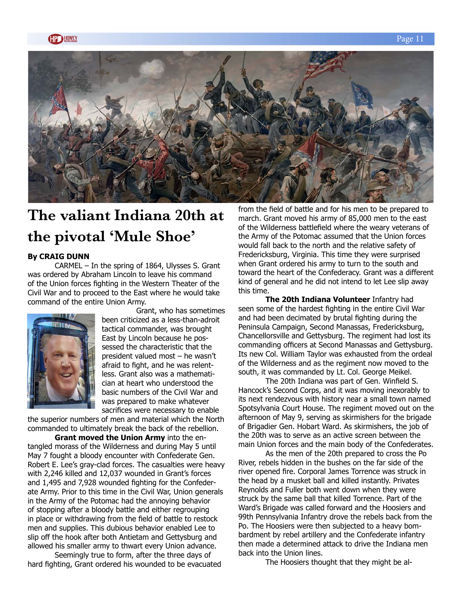

# **The valiant Indiana 20th at the pivotal 'Mule Shoe'**

#### **By CRAIG DUNN**

CARMEL – In the spring of 1864, Ulysses S. Grant was ordered by Abraham Lincoln to leave his command of the Union forces fighting in the Western Theater of the Civil War and to proceed to the East where he would take command of the entire Union Army.



 Grant, who has sometimes been criticized as a less-than-adroit tactical commander, was brought East by Lincoln because he possessed the characteristic that the president valued most – he wasn't afraid to fight, and he was relentless. Grant also was a mathematician at heart who understood the basic numbers of the Civil War and was prepared to make whatever sacrifices were necessary to enable

the superior numbers of men and material which the North commanded to ultimately break the back of the rebellion.

**Grant moved the Union Army** into the entangled morass of the Wilderness and during May 5 until May 7 fought a bloody encounter with Confederate Gen. Robert E. Lee's gray-clad forces. The casualties were heavy with 2,246 killed and 12,037 wounded in Grant's forces and 1,495 and 7,928 wounded fighting for the Confederate Army. Prior to this time in the Civil War, Union generals in the Army of the Potomac had the annoying behavior of stopping after a bloody battle and either regrouping in place or withdrawing from the field of battle to restock men and supplies. This dubious behavior enabled Lee to slip off the hook after both Antietam and Gettysburg and allowed his smaller army to thwart every Union advance.

Seemingly true to form, after the three days of hard fighting, Grant ordered his wounded to be evacuated from the field of battle and for his men to be prepared to march. Grant moved his army of 85,000 men to the east of the Wilderness battlefield where the weary veterans of the Army of the Potomac assumed that the Union forces would fall back to the north and the relative safety of Fredericksburg, Virginia. This time they were surprised when Grant ordered his army to turn to the south and toward the heart of the Confederacy. Grant was a different kind of general and he did not intend to let Lee slip away this time.

**The 20th Indiana Volunteer** Infantry had seen some of the hardest fighting in the entire Civil War and had been decimated by brutal fighting during the Peninsula Campaign, Second Manassas, Fredericksburg, Chancellorsville and Gettysburg. The regiment had lost its commanding officers at Second Manassas and Gettysburg. Its new Col. William Taylor was exhausted from the ordeal of the Wilderness and as the regiment now moved to the south, it was commanded by Lt. Col. George Meikel.

The 20th Indiana was part of Gen. Winfield S. Hancock's Second Corps, and it was moving inexorably to its next rendezvous with history near a small town named Spotsylvania Court House. The regiment moved out on the afternoon of May 9, serving as skirmishers for the brigade of Brigadier Gen. Hobart Ward. As skirmishers, the job of the 20th was to serve as an active screen between the main Union forces and the main body of the Confederates.

As the men of the 20th prepared to cross the Po River, rebels hidden in the bushes on the far side of the river opened fire. Corporal James Torrence was struck in the head by a musket ball and killed instantly. Privates Reynolds and Fuller both went down when they were struck by the same ball that killed Torrence. Part of the Ward's Brigade was called forward and the Hoosiers and 99th Pennsylvania Infantry drove the rebels back from the Po. The Hoosiers were then subjected to a heavy bombardment by rebel artillery and the Confederate infantry then made a determined attack to drive the Indiana men back into the Union lines.

The Hoosiers thought that they might be al-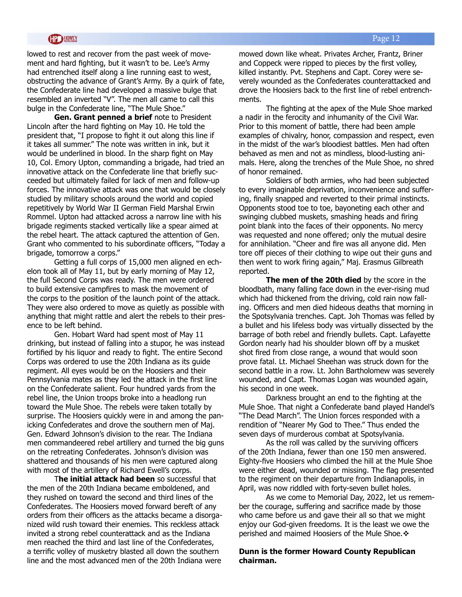#### Page 12

#### **HD HOWEY**

lowed to rest and recover from the past week of movement and hard fighting, but it wasn't to be. Lee's Army had entrenched itself along a line running east to west, obstructing the advance of Grant's Army. By a quirk of fate, the Confederate line had developed a massive bulge that resembled an inverted "V". The men all came to call this bulge in the Confederate line, "The Mule Shoe."

**Gen. Grant penned a brief** note to President Lincoln after the hard fighting on May 10. He told the president that, "I propose to fight it out along this line if it takes all summer." The note was written in ink, but it would be underlined in blood. In the sharp fight on May 10, Col. Emory Upton, commanding a brigade, had tried an innovative attack on the Confederate line that briefly succeeded but ultimately failed for lack of men and follow-up forces. The innovative attack was one that would be closely studied by military schools around the world and copied repetitively by World War II German Field Marshal Erwin Rommel. Upton had attacked across a narrow line with his brigade regiments stacked vertically like a spear aimed at the rebel heart. The attack captured the attention of Gen. Grant who commented to his subordinate officers, "Today a brigade, tomorrow a corps."

Getting a full corps of 15,000 men aligned en echelon took all of May 11, but by early morning of May 12, the full Second Corps was ready. The men were ordered to build extensive campfires to mask the movement of the corps to the position of the launch point of the attack. They were also ordered to move as quietly as possible with anything that might rattle and alert the rebels to their presence to be left behind.

Gen. Hobart Ward had spent most of May 11 drinking, but instead of falling into a stupor, he was instead fortified by his liquor and ready to fight. The entire Second Corps was ordered to use the 20th Indiana as its guide regiment. All eyes would be on the Hoosiers and their Pennsylvania mates as they led the attack in the first line on the Confederate salient. Four hundred yards from the rebel line, the Union troops broke into a headlong run toward the Mule Shoe. The rebels were taken totally by surprise. The Hoosiers quickly were in and among the panicking Confederates and drove the southern men of Maj. Gen. Edward Johnson's division to the rear. The Indiana men commandeered rebel artillery and turned the big guns on the retreating Confederates. Johnson's division was shattered and thousands of his men were captured along with most of the artillery of Richard Ewell's corps.

T**he initial attack had been** so successful that the men of the 20th Indiana became emboldened, and they rushed on toward the second and third lines of the Confederates. The Hoosiers moved forward bereft of any orders from their officers as the attacks became a disorganized wild rush toward their enemies. This reckless attack invited a strong rebel counterattack and as the Indiana men reached the third and last line of the Confederates, a terrific volley of musketry blasted all down the southern line and the most advanced men of the 20th Indiana were

mowed down like wheat. Privates Archer, Frantz, Briner and Coppeck were ripped to pieces by the first volley, killed instantly. Pvt. Stephens and Capt. Corey were severely wounded as the Confederates counterattacked and drove the Hoosiers back to the first line of rebel entrenchments.

The fighting at the apex of the Mule Shoe marked a nadir in the ferocity and inhumanity of the Civil War. Prior to this moment of battle, there had been ample examples of chivalry, honor, compassion and respect, even in the midst of the war's bloodiest battles. Men had often behaved as men and not as mindless, blood-lusting animals. Here, along the trenches of the Mule Shoe, no shred of honor remained.

Soldiers of both armies, who had been subjected to every imaginable deprivation, inconvenience and suffering, finally snapped and reverted to their primal instincts. Opponents stood toe to toe, bayoneting each other and swinging clubbed muskets, smashing heads and firing point blank into the faces of their opponents. No mercy was requested and none offered; only the mutual desire for annihilation. "Cheer and fire was all anyone did. Men tore off pieces of their clothing to wipe out their guns and then went to work firing again," Maj. Erasmus Gilbreath reported.

**The men of the 20th died** by the score in the bloodbath, many falling face down in the ever-rising mud which had thickened from the driving, cold rain now falling. Officers and men died hideous deaths that morning in the Spotsylvania trenches. Capt. Joh Thomas was felled by a bullet and his lifeless body was virtually dissected by the barrage of both rebel and friendly bullets. Capt. Lafayette Gordon nearly had his shoulder blown off by a musket shot fired from close range, a wound that would soon prove fatal. Lt. Michael Sheehan was struck down for the second battle in a row. Lt. John Bartholomew was severely wounded, and Capt. Thomas Logan was wounded again, his second in one week.

Darkness brought an end to the fighting at the Mule Shoe. That night a Confederate band played Handel's "The Dead March". The Union forces responded with a rendition of "Nearer My God to Thee." Thus ended the seven days of murderous combat at Spotsylvania.

As the roll was called by the surviving officers of the 20th Indiana, fewer than one 150 men answered. Eighty-five Hoosiers who climbed the hill at the Mule Shoe were either dead, wounded or missing. The flag presented to the regiment on their departure from Indianapolis, in April, was now riddled with forty-seven bullet holes.

As we come to Memorial Day, 2022, let us remember the courage, suffering and sacrifice made by those who came before us and gave their all so that we might enjoy our God-given freedoms. It is the least we owe the perished and maimed Hoosiers of the Mule Shoe. $\div$ 

#### **Dunn is the former Howard County Republican chairman.**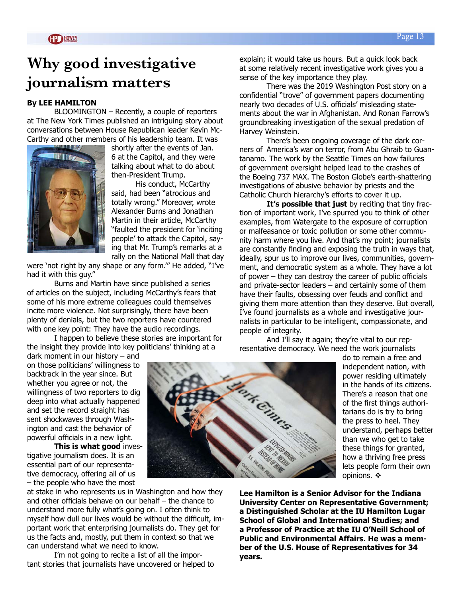# **Why good investigative journalism matters**

#### **By LEE HAMILTON**

BLOOMINGTON – Recently, a couple of reporters at The New York Times published an intriguing story about conversations between House Republican leader Kevin Mc-Carthy and other members of his leadership team. It was



shortly after the events of Jan. 6 at the Capitol, and they were talking about what to do about then-President Trump.

His conduct, McCarthy said, had been "atrocious and totally wrong." Moreover, wrote Alexander Burns and Jonathan Martin in their article, McCarthy "faulted the president for 'inciting people' to attack the Capitol, saying that Mr. Trump's remarks at a rally on the National Mall that day

were 'not right by any shape or any form.'" He added, "I've had it with this guy."

Burns and Martin have since published a series of articles on the subject, including McCarthy's fears that some of his more extreme colleagues could themselves incite more violence. Not surprisingly, there have been plenty of denials, but the two reporters have countered with one key point: They have the audio recordings.

I happen to believe these stories are important for the insight they provide into key politicians' thinking at a

dark moment in our history – and on those politicians' willingness to backtrack in the year since. But whether you agree or not, the willingness of two reporters to dig deep into what actually happened and set the record straight has sent shockwaves through Washington and cast the behavior of powerful officials in a new light.

**This is what good** investigative journalism does. It is an essential part of our representative democracy, offering all of us – the people who have the most

at stake in who represents us in Washington and how they and other officials behave on our behalf – the chance to understand more fully what's going on. I often think to myself how dull our lives would be without the difficult, important work that enterprising journalists do. They get for us the facts and, mostly, put them in context so that we can understand what we need to know.

I'm not going to recite a list of all the important stories that journalists have uncovered or helped to

Horste Cince

explain; it would take us hours. But a quick look back at some relatively recent investigative work gives you a sense of the key importance they play.

There was the 2019 Washington Post story on a confidential "trove" of government papers documenting nearly two decades of U.S. officials' misleading statements about the war in Afghanistan. And Ronan Farrow's groundbreaking investigation of the sexual predation of Harvey Weinstein.

There's been ongoing coverage of the dark corners of America's war on terror, from Abu Ghraib to Guantanamo. The work by the Seattle Times on how failures of government oversight helped lead to the crashes of the Boeing 737 MAX. The Boston Globe's earth-shattering investigations of abusive behavior by priests and the Catholic Church hierarchy's efforts to cover it up.

**It's possible that just** by reciting that tiny fraction of important work, I've spurred you to think of other examples, from Watergate to the exposure of corruption or malfeasance or toxic pollution or some other community harm where you live. And that's my point; journalists are constantly finding and exposing the truth in ways that, ideally, spur us to improve our lives, communities, government, and democratic system as a whole. They have a lot of power – they can destroy the career of public officials and private-sector leaders – and certainly some of them have their faults, obsessing over feuds and conflict and giving them more attention than they deserve. But overall, I've found journalists as a whole and investigative journalists in particular to be intelligent, compassionate, and people of integrity.

And I'll say it again; they're vital to our representative democracy. We need the work journalists

> do to remain a free and independent nation, with power residing ultimately in the hands of its citizens. There's a reason that one of the first things authoritarians do is try to bring the press to heel. They understand, perhaps better than we who get to take these things for granted, how a thriving free press lets people form their own opinions.  $\mathbf{\hat{v}}$

**Lee Hamilton is a Senior Advisor for the Indiana University Center on Representative Government; a Distinguished Scholar at the IU Hamilton Lugar School of Global and International Studies; and a Professor of Practice at the IU O'Neill School of Public and Environmental Affairs. He was a member of the U.S. House of Representatives for 34 years.**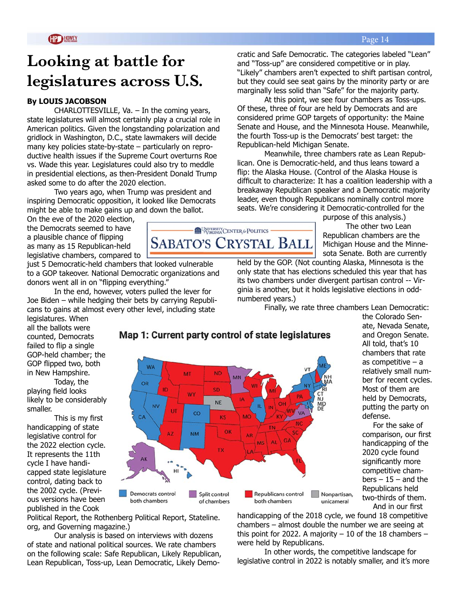# **Looking at battle for legislatures across U.S.**

#### **By LOUIS JACOBSON**

CHARLOTTESVILLE, Va. – In the coming years, state legislatures will almost certainly play a crucial role in American politics. Given the longstanding polarization and gridlock in Washington, D.C., state lawmakers will decide many key policies state-by-state – particularly on reproductive health issues if the Supreme Court overturns Roe vs. Wade this year. Legislatures could also try to meddle in presidential elections, as then-President Donald Trump asked some to do after the 2020 election.

Two years ago, when Trump was president and inspiring Democratic opposition, it looked like Democrats might be able to make gains up and down the ballot.

On the eve of the 2020 election, the Democrats seemed to have a plausible chance of flipping as many as 15 Republican-held legislative chambers, compared to

legislatures. When all the ballots were counted, Democrats failed to flip a single GOP-held chamber; the GOP flipped two, both in New Hampshire.

playing field looks likely to be considerably

handicapping of state legislative control for the 2022 election cycle. It represents the 11th cycle I have handicapped state legislature control, dating back to the 2002 cycle. (Previous versions have been

smaller.

Today, the

This is my first

just 5 Democratic-held chambers that looked vulnerable to a GOP takeover. National Democratic organizations and donors went all in on "flipping everything."

In the end, however, voters pulled the lever for Joe Biden – while hedging their bets by carrying Republicans to gains at almost every other level, including state

cratic and Safe Democratic. The categories labeled "Lean" and "Toss-up" are considered competitive or in play. "Likely" chambers aren't expected to shift partisan control, but they could see seat gains by the minority party or are marginally less solid than "Safe" for the majority party.

At this point, we see four chambers as Toss-ups. Of these, three of four are held by Democrats and are considered prime GOP targets of opportunity: the Maine Senate and House, and the Minnesota House. Meanwhile, the fourth Toss-up is the Democrats' best target: the Republican-held Michigan Senate.

Meanwhile, three chambers rate as Lean Republican. One is Democratic-held, and thus leans toward a flip: the Alaska House. (Control of the Alaska House is difficult to characterize: It has a coalition leadership with a breakaway Republican speaker and a Democratic majority leader, even though Republicans nominally control more seats. We're considering it Democratic-controlled for the

> purpose of this analysis.) The other two Lean Republican chambers are the Michigan House and the Minnesota Senate. Both are currently

held by the GOP. (Not counting Alaska, Minnesota is the only state that has elections scheduled this year that has its two chambers under divergent partisan control -- Virginia is another, but it holds legislative elections in oddnumbered years.)

handicapping of the 2018 cycle, we found 18 competitive chambers – almost double the number we are seeing at this point for 2022. A majority  $-10$  of the 18 chambers  $-$ 

In other words, the competitive landscape for legislative control in 2022 is notably smaller, and it's more

were held by Republicans.

Finally, we rate three chambers Lean Democratic:

the Colorado Senate, Nevada Senate, and Oregon Senate. All told, that's 10 chambers that rate as competitive – a relatively small number for recent cycles. Most of them are held by Democrats, putting the party on defense.

For the sake of comparison, our first handicapping of the 2020 cycle found significantly more competitive cham $bers - 15 - and the$ Republicans held two-thirds of them. And in our first

published in the Cook Political Report, the Rothenberg Political Report, Stateline. org, and Governing magazine.)

Our analysis is based on interviews with dozens of state and national political sources. We rate chambers on the following scale: Safe Republican, Likely Republican, Lean Republican, Toss-up, Lean Democratic, Likely Demo-

#### Map 1: Current party control of state legislatures





Page 14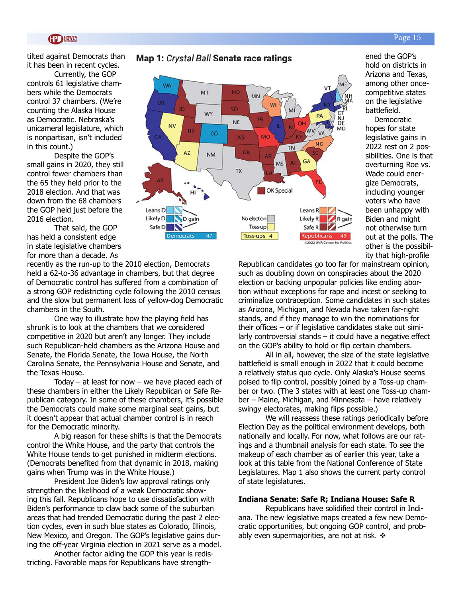tilted against Democrats than it has been in recent cycles.

Currently, the GOP controls 61 legislative chambers while the Democrats control 37 chambers. (We're counting the Alaska House as Democratic. Nebraska's unicameral legislature, which is nonpartisan, isn't included in this count.)

Despite the GOP's small gains in 2020, they still control fewer chambers than the 65 they held prior to the 2018 election. And that was down from the 68 chambers the GOP held just before the 2016 election.

That said, the GOP has held a consistent edge in state legislative chambers for more than a decade. As

recently as the run-up to the 2010 election, Democrats held a 62-to-36 advantage in chambers, but that degree of Democratic control has suffered from a combination of a strong GOP redistricting cycle following the 2010 census and the slow but permanent loss of yellow-dog Democratic chambers in the South.

One way to illustrate how the playing field has shrunk is to look at the chambers that we considered competitive in 2020 but aren't any longer. They include such Republican-held chambers as the Arizona House and Senate, the Florida Senate, the Iowa House, the North Carolina Senate, the Pennsylvania House and Senate, and the Texas House.

Today  $-$  at least for now  $-$  we have placed each of these chambers in either the Likely Republican or Safe Republican category. In some of these chambers, it's possible the Democrats could make some marginal seat gains, but it doesn't appear that actual chamber control is in reach for the Democratic minority.

A big reason for these shifts is that the Democrats control the White House, and the party that controls the White House tends to get punished in midterm elections. (Democrats benefited from that dynamic in 2018, making gains when Trump was in the White House.)

President Joe Biden's low approval ratings only strengthen the likelihood of a weak Democratic showing this fall. Republicans hope to use dissatisfaction with Biden's performance to claw back some of the suburban areas that had trended Democratic during the past 2 election cycles, even in such blue states as Colorado, Illinois, New Mexico, and Oregon. The GOP's legislative gains during the off-year Virginia election in 2021 serve as a model.

Another factor aiding the GOP this year is redistricting. Favorable maps for Republicans have strengthRepublican candidates go too far for mainstream opinion, such as doubling down on conspiracies about the 2020 election or backing unpopular policies like ending abortion without exceptions for rape and incest or seeking to criminalize contraception. Some candidates in such states as Arizona, Michigan, and Nevada have taken far-right stands, and if they manage to win the nominations for their offices – or if legislative candidates stake out similarly controversial stands – it could have a negative effect on the GOP's ability to hold or flip certain chambers.

All in all, however, the size of the state legislative battlefield is small enough in 2022 that it could become a relatively status quo cycle. Only Alaska's House seems poised to flip control, possibly joined by a Toss-up chamber or two. (The 3 states with at least one Toss-up chamber – Maine, Michigan, and Minnesota – have relatively swingy electorates, making flips possible.)

We will reassess these ratings periodically before Election Day as the political environment develops, both nationally and locally. For now, what follows are our ratings and a thumbnail analysis for each state. To see the makeup of each chamber as of earlier this year, take a look at this table from the National Conference of State Legislatures. Map 1 also shows the current party control of state legislatures.

#### **Indiana Senate: Safe R; Indiana House: Safe R**

Republicans have solidified their control in Indiana. The new legislative maps created a few new Democratic opportunities, but ongoing GOP control, and probably even supermajorities, are not at risk.  $\triangleleft$ 

### Map 1: Crystal Ball Senate race ratings



ened the GOP's hold on districts in Arizona and Texas, among other oncecompetitive states on the legislative

battlefield.

**Democratic** hopes for state legislative gains in 2022 rest on 2 possibilities. One is that overturning Roe vs. Wade could energize Democrats, including younger voters who have been unhappy with Biden and might not otherwise turn out at the polls. The other is the possibility that high-profile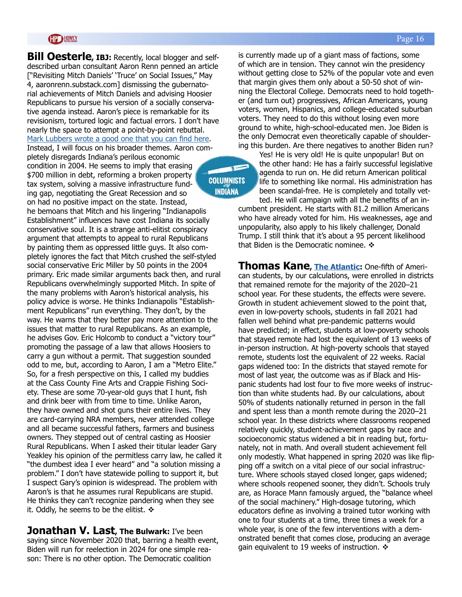#### **GP HOWEY**

**Bill Oesterle, IBJ:** Recently, local blogger and selfdescribed urban consultant Aaron Renn penned an article ["Revisiting Mitch Daniels' 'Truce' on Social Issues," May 4, aaronrenn.substack.com] dismissing the gubernatorial achievements of Mitch Daniels and advising Hoosier Republicans to pursue his version of a socially conservative agenda instead. Aaron's piece is remarkable for its revisionism, tortured logic and factual errors. I don't have nearly the space to attempt a point-by-point rebuttal. [Mark Lubbers wrote a good one that you can find here](https://billo317.blogspot.com/2022/05/r-mark-lubbers-dismantles-aaron-renns.html).

Instead, I will focus on his broader themes. Aaron completely disregards Indiana's perilous economic condition in 2004. He seems to imply that erasing \$700 million in debt, reforming a broken property tax system, solving a massive infrastructure funding gap, negotiating the Great Recession and so

**COLUMNISTS INDIANA** 

on had no positive impact on the state. Instead, he bemoans that Mitch and his lingering "Indianapolis Establishment" influences have cost Indiana its socially conservative soul. It is a strange anti-elitist conspiracy argument that attempts to appeal to rural Republicans by painting them as oppressed little guys. It also completely ignores the fact that Mitch crushed the self-styled social conservative Eric Miller by 50 points in the 2004 primary. Eric made similar arguments back then, and rural Republicans overwhelmingly supported Mitch. In spite of the many problems with Aaron's historical analysis, his policy advice is worse. He thinks Indianapolis "Establishment Republicans" run everything. They don't, by the way. He warns that they better pay more attention to the issues that matter to rural Republicans. As an example, he advises Gov. Eric Holcomb to conduct a "victory tour" promoting the passage of a law that allows Hoosiers to carry a gun without a permit. That suggestion sounded odd to me, but, according to Aaron, I am a "Metro Elite." So, for a fresh perspective on this, I called my buddies at the Cass County Fine Arts and Crappie Fishing Society. These are some 70-year-old guys that I hunt, fish and drink beer with from time to time. Unlike Aaron, they have owned and shot guns their entire lives. They are card-carrying NRA members, never attended college and all became successful fathers, farmers and business owners. They stepped out of central casting as Hoosier Rural Republicans. When I asked their titular leader Gary Yeakley his opinion of the permitless carry law, he called it "the dumbest idea I ever heard" and "a solution missing a problem." I don't have statewide polling to support it, but I suspect Gary's opinion is widespread. The problem with Aaron's is that he assumes rural Republicans are stupid. He thinks they can't recognize pandering when they see it. Oddly, he seems to be the elitist.  $\cdot$ 

**Jonathan V. Last, The Bulwark:** I've been saying since November 2020 that, barring a health event, Biden will run for reelection in 2024 for one simple reason: There is no other option. The Democratic coalition

#### Page 16

is currently made up of a giant mass of factions, some of which are in tension. They cannot win the presidency without getting close to 52% of the popular vote and even that margin gives them only about a 50-50 shot of winning the Electoral College. Democrats need to hold together (and turn out) progressives, African Americans, young voters, women, Hispanics, and college-educated suburban voters. They need to do this without losing even more ground to white, high-school-educated men. Joe Biden is the only Democrat even theoretically capable of shouldering this burden. Are there negatives to another Biden run?

Yes! He is very old! He is quite unpopular! But on the other hand: He has a fairly successful legislative agenda to run on. He did return American political life to something like normal. His administration has been scandal-free. He is completely and totally vetted. He will campaign with all the benefits of an in-

cumbent president. He starts with 81.2 million Americans who have already voted for him. His weaknesses, age and unpopularity, also apply to his likely challenger, Donald Trump. I still think that it's about a 95 percent likelihood that Biden is the Democratic nominee.  $\triangle$ 

**Thomas Kane, [The Atlantic:](https://www.theatlantic.com/ideas/archive/2022/05/schools-learning-loss-remote-covid-education/629938/)** One-fifth of American students, by our calculations, were enrolled in districts that remained remote for the majority of the 2020–21 school year. For these students, the effects were severe. Growth in student achievement slowed to the point that, even in low-poverty schools, students in fall 2021 had fallen well behind what pre-pandemic patterns would have predicted; in effect, students at low-poverty schools that stayed remote had lost the equivalent of 13 weeks of in-person instruction. At high-poverty schools that stayed remote, students lost the equivalent of 22 weeks. Racial gaps widened too: In the districts that stayed remote for most of last year, the outcome was as if Black and Hispanic students had lost four to five more weeks of instruction than white students had. By our calculations, about 50% of students nationally returned in person in the fall and spent less than a month remote during the 2020–21 school year. In these districts where classrooms reopened relatively quickly, student-achievement gaps by race and socioeconomic status widened a bit in reading but, fortunately, not in math. And overall student achievement fell only modestly. What happened in spring 2020 was like flipping off a switch on a vital piece of our social infrastructure. Where schools stayed closed longer, gaps widened; where schools reopened sooner, they didn't. Schools truly are, as Horace Mann famously argued, the "balance wheel of the social machinery." High-dosage tutoring, which educators define as involving a trained tutor working with one to four students at a time, three times a week for a whole year, is one of the few interventions with a demonstrated benefit that comes close, producing an average gain equivalent to 19 weeks of instruction.  $\mathbf{\hat{*}}$